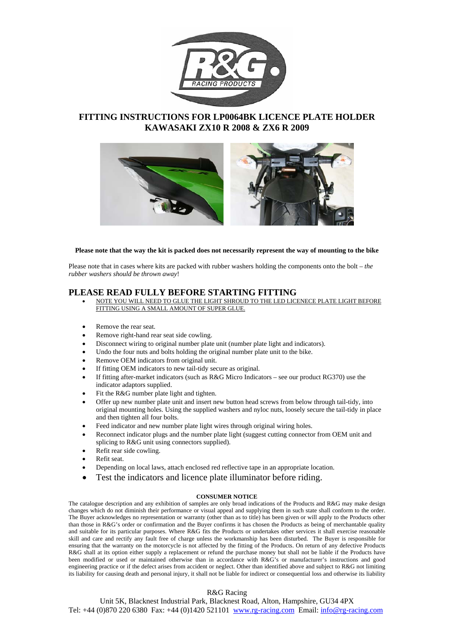

# **FITTING INSTRUCTIONS FOR LP0064BK LICENCE PLATE HOLDER KAWASAKI ZX10 R 2008 & ZX6 R 2009**



### **Please note that the way the kit is packed does not necessarily represent the way of mounting to the bike**

Please note that in cases where kits are packed with rubber washers holding the components onto the bolt – *the rubber washers should be thrown away*!

# **PLEASE READ FULLY BEFORE STARTING FITTING**

- NOTE YOU WILL NEED TO GLUE THE LIGHT SHROUD TO THE LED LICENECE PLATE LIGHT BEFORE FITTING USING A SMALL AMOUNT OF SUPER GLUE.
- Remove the rear seat.
- Remove right-hand rear seat side cowling.
- Disconnect wiring to original number plate unit (number plate light and indicators).
- Undo the four nuts and bolts holding the original number plate unit to the bike.
- Remove OEM indicators from original unit.
- If fitting OEM indicators to new tail-tidy secure as original.
- If fitting after-market indicators (such as R&G Micro Indicators see our product RG370) use the indicator adaptors supplied.
- Fit the R&G number plate light and tighten.
- Offer up new number plate unit and insert new button head screws from below through tail-tidy, into original mounting holes. Using the supplied washers and nyloc nuts, loosely secure the tail-tidy in place and then tighten all four bolts.
- Feed indicator and new number plate light wires through original wiring holes.
- Reconnect indicator plugs and the number plate light (suggest cutting connector from OEM unit and splicing to R&G unit using connectors supplied).
- Refit rear side cowling.
- Refit seat.
- Depending on local laws, attach enclosed red reflective tape in an appropriate location.
- Test the indicators and licence plate illuminator before riding.

#### **CONSUMER NOTICE**

The catalogue description and any exhibition of samples are only broad indications of the Products and  $R\&G$  may make design changes which do not diminish their performance or visual appeal and supplying them in such state shall conform to the order. The Buyer acknowledges no representation or warranty (other than as to title) has been given or will apply to the Products other than those in R&G's order or confirmation and the Buyer confirms it has chosen the Products as being of merchantable quality and suitable for its particular purposes. Where R&G fits the Products or undertakes other services it shall exercise reasonable skill and care and rectify any fault free of charge unless the workmanship has been disturbed. The Buyer is responsible for ensuring that the warranty on the motorcycle is not affected by the fitting of the Products. On return of any defective Products R&G shall at its option either supply a replacement or refund the purchase money but shall not be liable if the Products have been modified or used or maintained otherwise than in accordance with R&G's or manufacturer's instructions and good engineering practice or if the defect arises from accident or neglect. Other than identified above and subject to R&G not limiting its liability for causing death and personal injury, it shall not be liable for indirect or consequential loss and otherwise its liability

# R&G Racing

Unit 5K, Blacknest Industrial Park, Blacknest Road, Alton, Hampshire, GU34 4PX Tel: +44 (0)870 220 6380 Fax: +44 (0)1420 521101 www.rg-racing.com Email: info@rg-racing.com